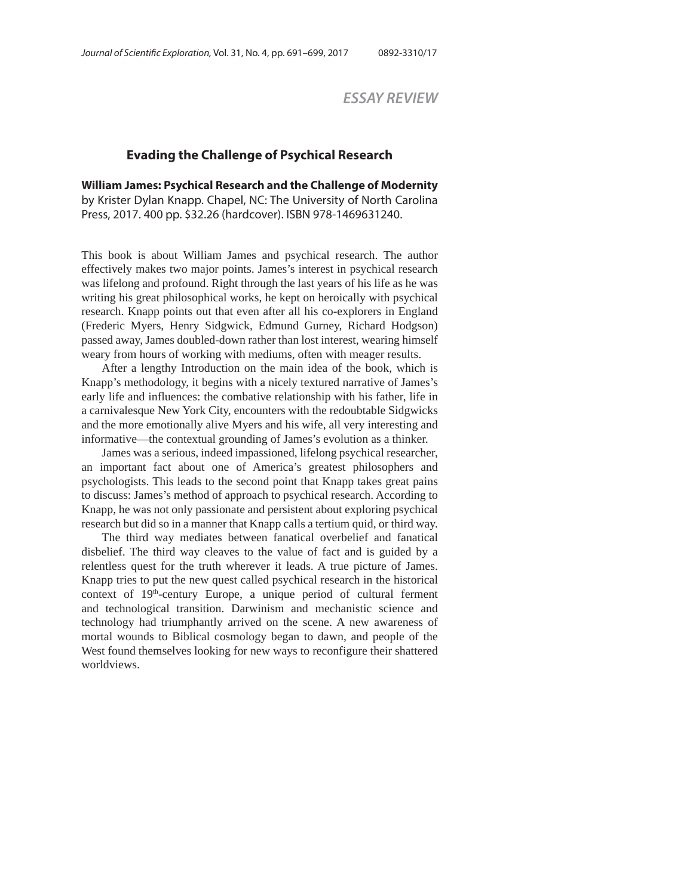*ESSAY REVIEW*

## **Evading the Challenge of Psychical Research**

**William James: Psychical Research and the Challenge of Modernity** by Krister Dylan Knapp. Chapel, NC: The University of North Carolina Press, 2017. 400 pp. \$32.26 (hardcover). ISBN 978-1469631240.

This book is about William James and psychical research. The author effectively makes two major points. James's interest in psychical research was lifelong and profound. Right through the last years of his life as he was writing his great philosophical works, he kept on heroically with psychical research. Knapp points out that even after all his co-explorers in England (Frederic Myers, Henry Sidgwick, Edmund Gurney, Richard Hodgson) passed away, James doubled-down rather than lost interest, wearing himself weary from hours of working with mediums, often with meager results.

After a lengthy Introduction on the main idea of the book, which is Knapp's methodology, it begins with a nicely textured narrative of James's early life and influences: the combative relationship with his father, life in a carnivalesque New York City, encounters with the redoubtable Sidgwicks and the more emotionally alive Myers and his wife, all very interesting and informative—the contextual grounding of James's evolution as a thinker.

James was a serious, indeed impassioned, lifelong psychical researcher, an important fact about one of America's greatest philosophers and psychologists. This leads to the second point that Knapp takes great pains to discuss: James's method of approach to psychical research. According to Knapp, he was not only passionate and persistent about exploring psychical research but did so in a manner that Knapp calls a tertium quid, or third way.

The third way mediates between fanatical overbelief and fanatical disbelief. The third way cleaves to the value of fact and is guided by a relentless quest for the truth wherever it leads. A true picture of James. Knapp tries to put the new quest called psychical research in the historical context of 19<sup>th</sup>-century Europe, a unique period of cultural ferment and technological transition. Darwinism and mechanistic science and technology had triumphantly arrived on the scene. A new awareness of mortal wounds to Biblical cosmology began to dawn, and people of the West found themselves looking for new ways to reconfigure their shattered worldviews.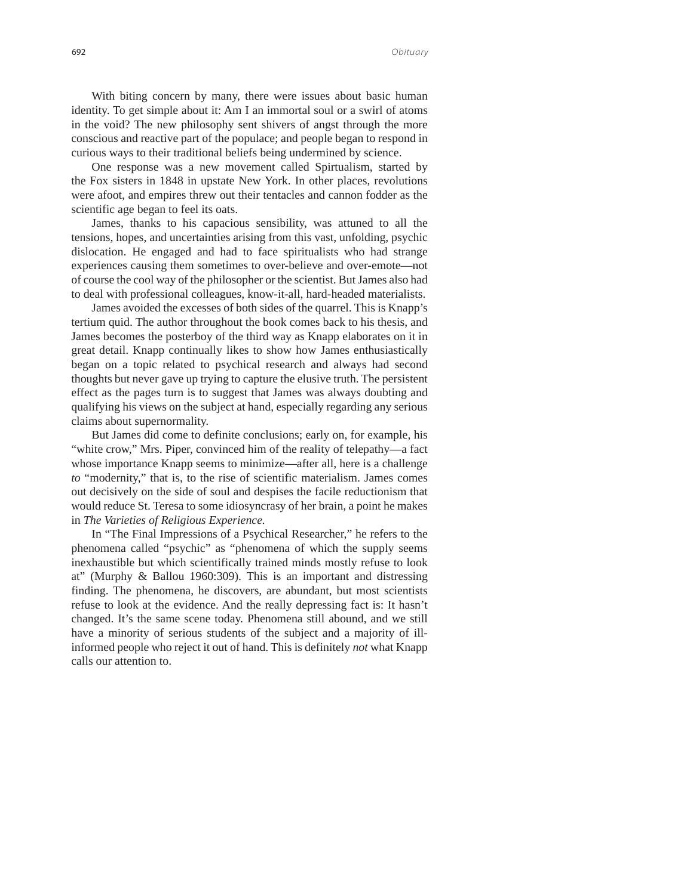## 692 *Obituary*

With biting concern by many, there were issues about basic human identity. To get simple about it: Am I an immortal soul or a swirl of atoms in the void? The new philosophy sent shivers of angst through the more conscious and reactive part of the populace; and people began to respond in curious ways to their traditional beliefs being undermined by science.

One response was a new movement called Spirtualism, started by the Fox sisters in 1848 in upstate New York. In other places, revolutions were afoot, and empires threw out their tentacles and cannon fodder as the scientific age began to feel its oats.

James, thanks to his capacious sensibility, was attuned to all the tensions, hopes, and uncertainties arising from this vast, unfolding, psychic dislocation. He engaged and had to face spiritualists who had strange experiences causing them sometimes to over-believe and over-emote—not of course the cool way of the philosopher or the scientist. But James also had to deal with professional colleagues, know-it-all, hard-headed materialists.

James avoided the excesses of both sides of the quarrel. This is Knapp's tertium quid. The author throughout the book comes back to his thesis, and James becomes the posterboy of the third way as Knapp elaborates on it in great detail. Knapp continually likes to show how James enthusiastically began on a topic related to psychical research and always had second thoughts but never gave up trying to capture the elusive truth. The persistent effect as the pages turn is to suggest that James was always doubting and qualifying his views on the subject at hand, especially regarding any serious claims about supernormality.

But James did come to definite conclusions; early on, for example, his "white crow," Mrs. Piper, convinced him of the reality of telepathy—a fact whose importance Knapp seems to minimize—after all, here is a challenge *to* "modernity," that is, to the rise of scientific materialism. James comes out decisively on the side of soul and despises the facile reductionism that would reduce St. Teresa to some idiosyncrasy of her brain, a point he makes in *The Varieties of Religious Experience.*

In "The Final Impressions of a Psychical Researcher," he refers to the phenomena called "psychic" as "phenomena of which the supply seems inexhaustible but which scientifically trained minds mostly refuse to look at" (Murphy & Ballou 1960:309). This is an important and distressing finding. The phenomena, he discovers, are abundant, but most scientists refuse to look at the evidence. And the really depressing fact is: It hasn't changed. It's the same scene today. Phenomena still abound, and we still have a minority of serious students of the subject and a majority of illinformed people who reject it out of hand. This is definitely *not* what Knapp calls our attention to.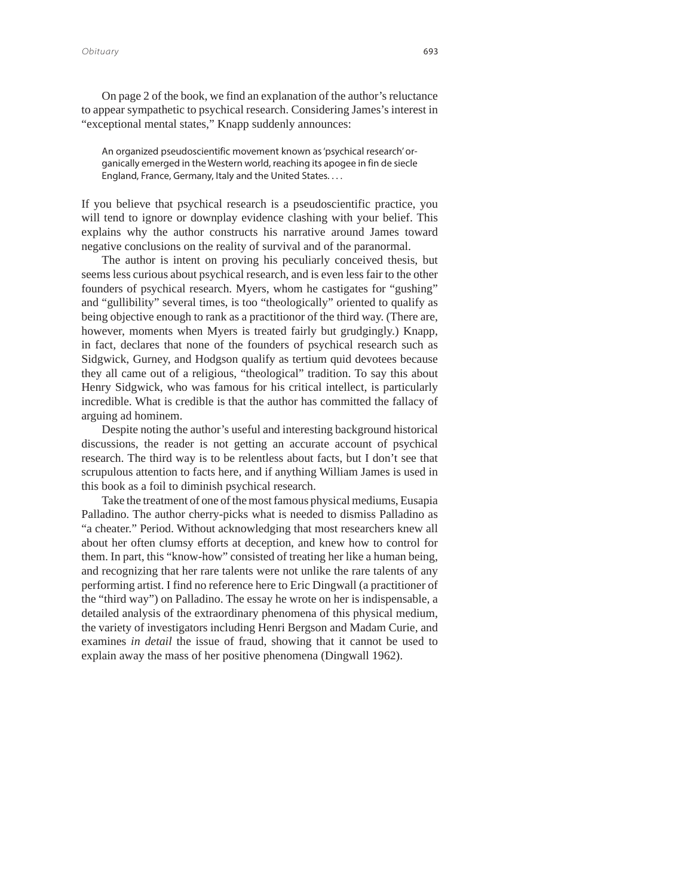*Obituary* 693

On page 2 of the book, we find an explanation of the author's reluctance to appear sympathetic to psychical research. Considering James's interest in "exceptional mental states," Knapp suddenly announces:

An organized pseudoscientific movement known as 'psychical research' organically emerged in the Western world, reaching its apogee in fin de siecle England, France, Germany, Italy and the United States. . . .

If you believe that psychical research is a pseudoscientific practice, you will tend to ignore or downplay evidence clashing with your belief. This explains why the author constructs his narrative around James toward negative conclusions on the reality of survival and of the paranormal.

The author is intent on proving his peculiarly conceived thesis, but seems less curious about psychical research, and is even less fair to the other founders of psychical research. Myers, whom he castigates for "gushing" and "gullibility" several times, is too "theologically" oriented to qualify as being objective enough to rank as a practitionor of the third way. (There are, however, moments when Myers is treated fairly but grudgingly.) Knapp, in fact, declares that none of the founders of psychical research such as Sidgwick, Gurney, and Hodgson qualify as tertium quid devotees because they all came out of a religious, "theological" tradition. To say this about Henry Sidgwick, who was famous for his critical intellect, is particularly incredible. What is credible is that the author has committed the fallacy of arguing ad hominem.

Despite noting the author's useful and interesting background historical discussions, the reader is not getting an accurate account of psychical research. The third way is to be relentless about facts, but I don't see that scrupulous attention to facts here, and if anything William James is used in this book as a foil to diminish psychical research.

Take the treatment of one of the most famous physical mediums, Eusapia Palladino. The author cherry-picks what is needed to dismiss Palladino as "a cheater." Period. Without acknowledging that most researchers knew all about her often clumsy efforts at deception, and knew how to control for them. In part, this "know-how" consisted of treating her like a human being, and recognizing that her rare talents were not unlike the rare talents of any performing artist. I find no reference here to Eric Dingwall (a practitioner of the "third way") on Palladino. The essay he wrote on her is indispensable, a detailed analysis of the extraordinary phenomena of this physical medium, the variety of investigators including Henri Bergson and Madam Curie, and examines *in detail* the issue of fraud, showing that it cannot be used to explain away the mass of her positive phenomena (Dingwall 1962).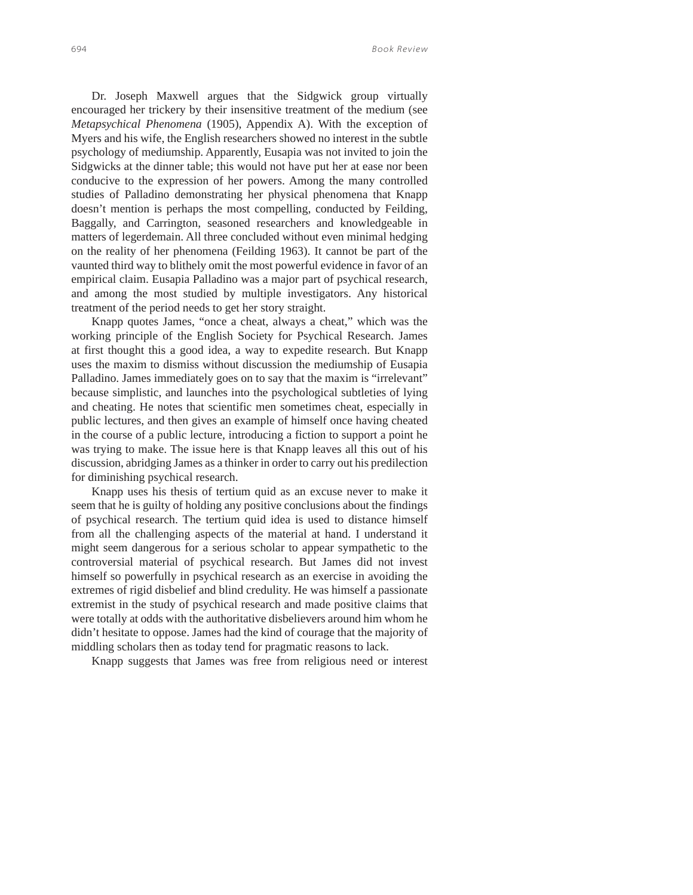Dr. Joseph Maxwell argues that the Sidgwick group virtually encouraged her trickery by their insensitive treatment of the medium (see *Metapsychical Phenomena* (1905), Appendix A). With the exception of Myers and his wife, the English researchers showed no interest in the subtle psychology of mediumship. Apparently, Eusapia was not invited to join the Sidgwicks at the dinner table; this would not have put her at ease nor been conducive to the expression of her powers. Among the many controlled studies of Palladino demonstrating her physical phenomena that Knapp doesn't mention is perhaps the most compelling, conducted by Feilding, Baggally, and Carrington, seasoned researchers and knowledgeable in matters of legerdemain. All three concluded without even minimal hedging on the reality of her phenomena (Feilding 1963). It cannot be part of the vaunted third way to blithely omit the most powerful evidence in favor of an empirical claim. Eusapia Palladino was a major part of psychical research, and among the most studied by multiple investigators. Any historical treatment of the period needs to get her story straight.

Knapp quotes James, "once a cheat, always a cheat," which was the working principle of the English Society for Psychical Research. James at first thought this a good idea, a way to expedite research. But Knapp uses the maxim to dismiss without discussion the mediumship of Eusapia Palladino. James immediately goes on to say that the maxim is "irrelevant" because simplistic, and launches into the psychological subtleties of lying and cheating. He notes that scientific men sometimes cheat, especially in public lectures, and then gives an example of himself once having cheated in the course of a public lecture, introducing a fiction to support a point he was trying to make. The issue here is that Knapp leaves all this out of his discussion, abridging James as a thinker in order to carry out his predilection for diminishing psychical research.

Knapp uses his thesis of tertium quid as an excuse never to make it seem that he is guilty of holding any positive conclusions about the findings of psychical research. The tertium quid idea is used to distance himself from all the challenging aspects of the material at hand. I understand it might seem dangerous for a serious scholar to appear sympathetic to the controversial material of psychical research. But James did not invest himself so powerfully in psychical research as an exercise in avoiding the extremes of rigid disbelief and blind credulity. He was himself a passionate extremist in the study of psychical research and made positive claims that were totally at odds with the authoritative disbelievers around him whom he didn't hesitate to oppose. James had the kind of courage that the majority of middling scholars then as today tend for pragmatic reasons to lack.

Knapp suggests that James was free from religious need or interest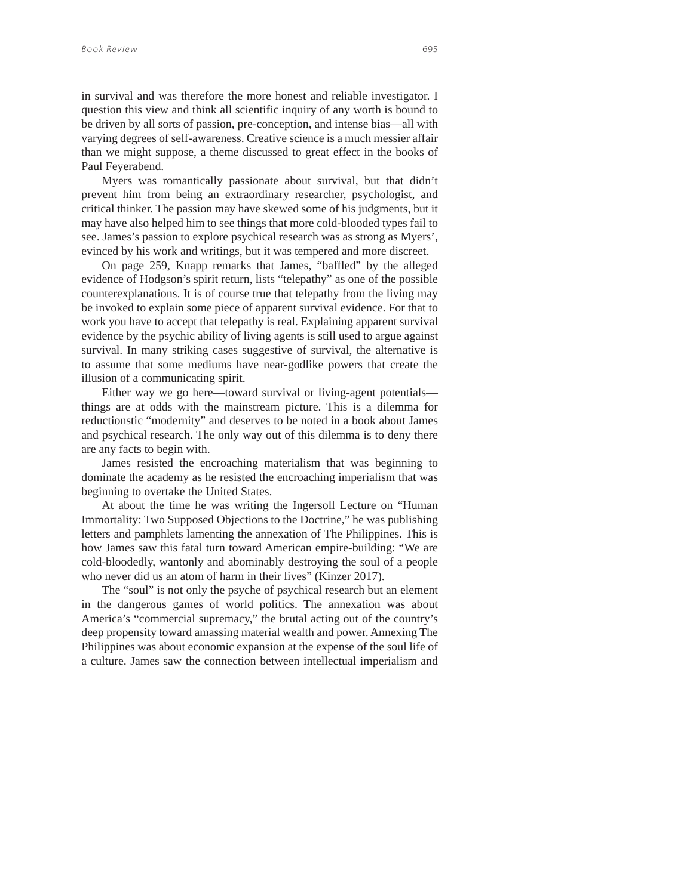in survival and was therefore the more honest and reliable investigator. I question this view and think all scientific inquiry of any worth is bound to be driven by all sorts of passion, pre-conception, and intense bias—all with varying degrees of self-awareness. Creative science is a much messier affair than we might suppose, a theme discussed to great effect in the books of Paul Feyerabend.

Myers was romantically passionate about survival, but that didn't prevent him from being an extraordinary researcher, psychologist, and critical thinker. The passion may have skewed some of his judgments, but it may have also helped him to see things that more cold-blooded types fail to see. James's passion to explore psychical research was as strong as Myers', evinced by his work and writings, but it was tempered and more discreet.

On page 259, Knapp remarks that James, "baffled" by the alleged evidence of Hodgson's spirit return, lists "telepathy" as one of the possible counterexplanations. It is of course true that telepathy from the living may be invoked to explain some piece of apparent survival evidence. For that to work you have to accept that telepathy is real. Explaining apparent survival evidence by the psychic ability of living agents is still used to argue against survival. In many striking cases suggestive of survival, the alternative is to assume that some mediums have near-godlike powers that create the illusion of a communicating spirit.

Either way we go here—toward survival or living-agent potentials things are at odds with the mainstream picture. This is a dilemma for reductionstic "modernity" and deserves to be noted in a book about James and psychical research. The only way out of this dilemma is to deny there are any facts to begin with.

James resisted the encroaching materialism that was beginning to dominate the academy as he resisted the encroaching imperialism that was beginning to overtake the United States.

At about the time he was writing the Ingersoll Lecture on "Human Immortality: Two Supposed Objections to the Doctrine," he was publishing letters and pamphlets lamenting the annexation of The Philippines. This is how James saw this fatal turn toward American empire-building: "We are cold-bloodedly, wantonly and abominably destroying the soul of a people who never did us an atom of harm in their lives" (Kinzer 2017).

The "soul" is not only the psyche of psychical research but an element in the dangerous games of world politics. The annexation was about America's "commercial supremacy," the brutal acting out of the country's deep propensity toward amassing material wealth and power. Annexing The Philippines was about economic expansion at the expense of the soul life of a culture. James saw the connection between intellectual imperialism and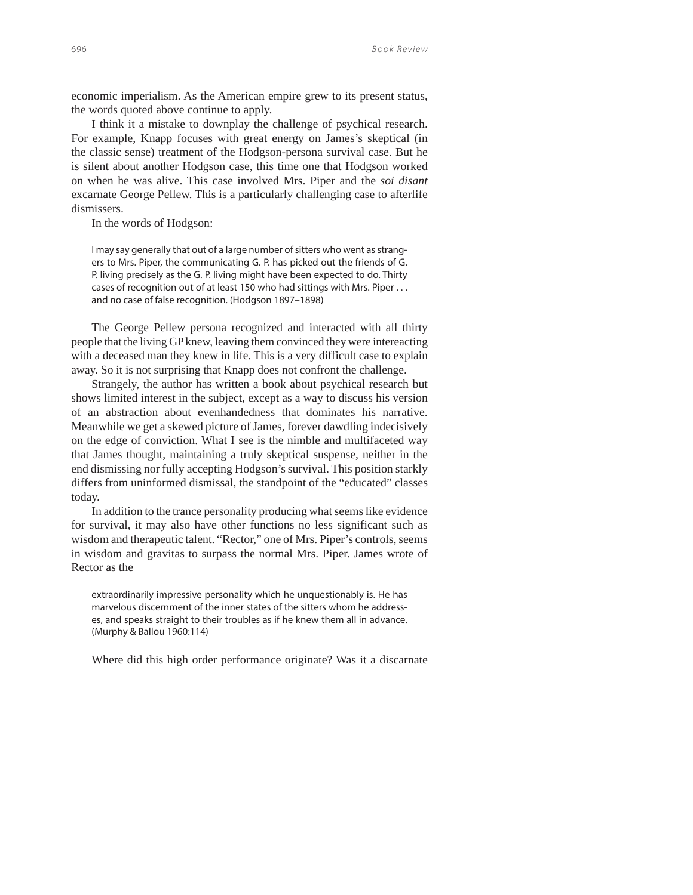economic imperialism. As the American empire grew to its present status, the words quoted above continue to apply.

I think it a mistake to downplay the challenge of psychical research. For example, Knapp focuses with great energy on James's skeptical (in the classic sense) treatment of the Hodgson-persona survival case. But he is silent about another Hodgson case, this time one that Hodgson worked on when he was alive. This case involved Mrs. Piper and the *soi disant* excarnate George Pellew. This is a particularly challenging case to afterlife dismissers.

In the words of Hodgson:

I may say generally that out of a large number of sitters who went as strangers to Mrs. Piper, the communicating G. P. has picked out the friends of G. P. living precisely as the G. P. living might have been expected to do. Thirty cases of recognition out of at least 150 who had sittings with Mrs. Piper . . . and no case of false recognition. (Hodgson 1897–1898)

The George Pellew persona recognized and interacted with all thirty people that the living GP knew, leaving them convinced they were intereacting with a deceased man they knew in life. This is a very difficult case to explain away. So it is not surprising that Knapp does not confront the challenge.

Strangely, the author has written a book about psychical research but shows limited interest in the subject, except as a way to discuss his version of an abstraction about evenhandedness that dominates his narrative. Meanwhile we get a skewed picture of James, forever dawdling indecisively on the edge of conviction. What I see is the nimble and multifaceted way that James thought, maintaining a truly skeptical suspense, neither in the end dismissing nor fully accepting Hodgson's survival. This position starkly differs from uninformed dismissal, the standpoint of the "educated" classes today.

In addition to the trance personality producing what seems like evidence for survival, it may also have other functions no less significant such as wisdom and therapeutic talent. "Rector," one of Mrs. Piper's controls, seems in wisdom and gravitas to surpass the normal Mrs. Piper. James wrote of Rector as the

extraordinarily impressive personality which he unquestionably is. He has marvelous discernment of the inner states of the sitters whom he addresses, and speaks straight to their troubles as if he knew them all in advance. (Murphy & Ballou 1960:114)

Where did this high order performance originate? Was it a discarnate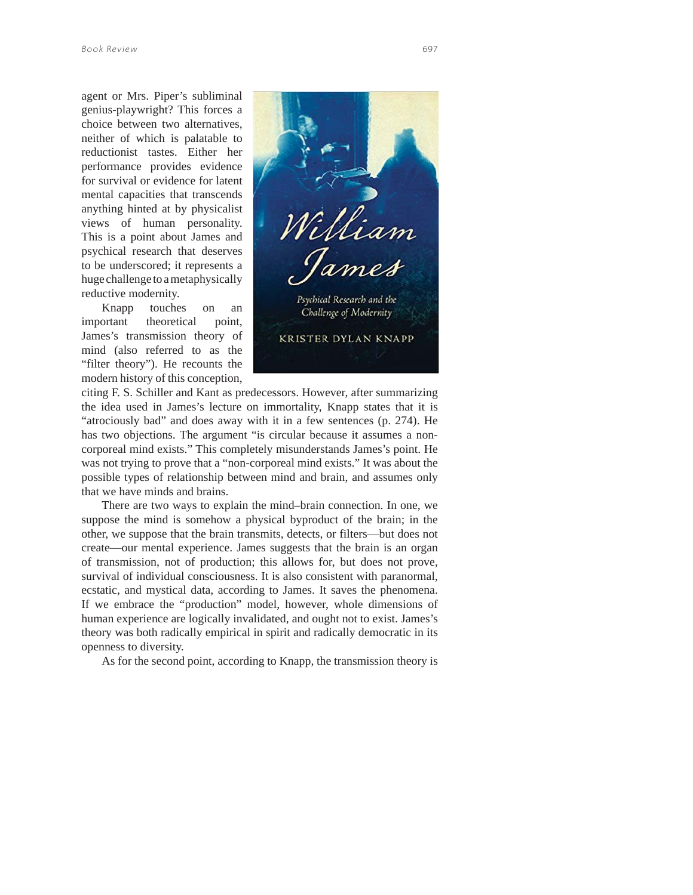agent or Mrs. Piper's subliminal genius-playwright? This forces a choice between two alternatives, neither of which is palatable to reductionist tastes. Either her performance provides evidence for survival or evidence for latent mental capacities that transcends anything hinted at by physicalist views of human personality. This is a point about James and psychical research that deserves to be underscored; it represents a huge challenge to a metaphysically reductive modernity.

Knapp touches on an important theoretical point, James's transmission theory of mind (also referred to as the "filter theory"). He recounts the modern history of this conception,



citing F. S. Schiller and Kant as predecessors. However, after summarizing the idea used in James's lecture on immortality, Knapp states that it is "atrociously bad" and does away with it in a few sentences (p. 274). He has two objections. The argument "is circular because it assumes a noncorporeal mind exists." This completely misunderstands James's point. He was not trying to prove that a "non-corporeal mind exists." It was about the possible types of relationship between mind and brain, and assumes only that we have minds and brains.

There are two ways to explain the mind–brain connection. In one, we suppose the mind is somehow a physical byproduct of the brain; in the other, we suppose that the brain transmits, detects, or filters—but does not create—our mental experience. James suggests that the brain is an organ of transmission, not of production; this allows for, but does not prove, survival of individual consciousness. It is also consistent with paranormal, ecstatic, and mystical data, according to James. It saves the phenomena. If we embrace the "production" model, however, whole dimensions of human experience are logically invalidated, and ought not to exist. James's theory was both radically empirical in spirit and radically democratic in its openness to diversity.

As for the second point, according to Knapp, the transmission theory is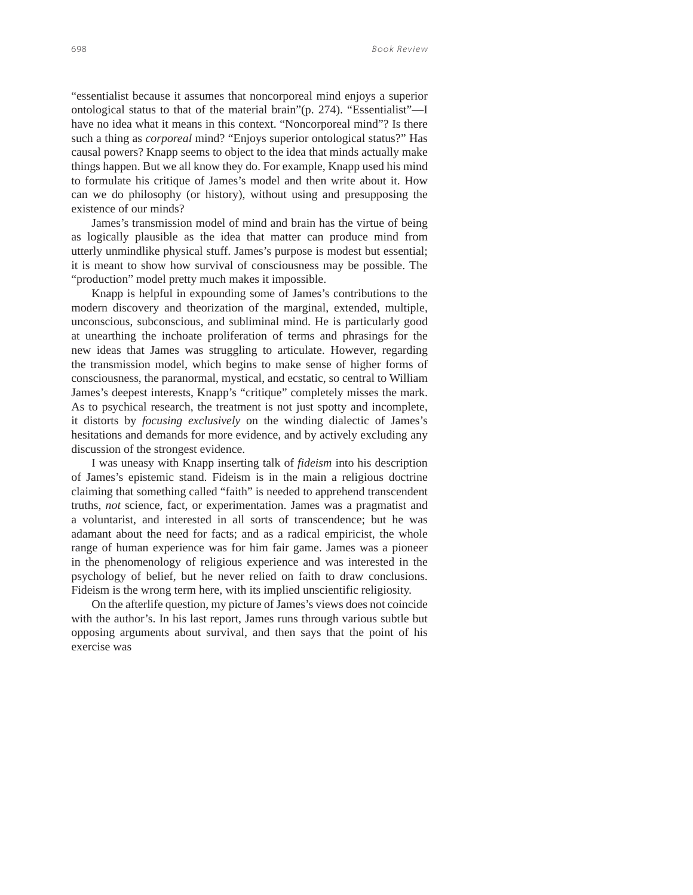"essentialist because it assumes that noncorporeal mind enjoys a superior ontological status to that of the material brain"(p. 274). "Essentialist"—I have no idea what it means in this context. "Noncorporeal mind"? Is there such a thing as *corporeal* mind? "Enjoys superior ontological status?" Has causal powers? Knapp seems to object to the idea that minds actually make things happen. But we all know they do. For example, Knapp used his mind to formulate his critique of James's model and then write about it. How can we do philosophy (or history), without using and presupposing the existence of our minds?

James's transmission model of mind and brain has the virtue of being as logically plausible as the idea that matter can produce mind from utterly unmindlike physical stuff. James's purpose is modest but essential; it is meant to show how survival of consciousness may be possible. The "production" model pretty much makes it impossible.

Knapp is helpful in expounding some of James's contributions to the modern discovery and theorization of the marginal, extended, multiple, unconscious, subconscious, and subliminal mind. He is particularly good at unearthing the inchoate proliferation of terms and phrasings for the new ideas that James was struggling to articulate. However, regarding the transmission model, which begins to make sense of higher forms of consciousness, the paranormal, mystical, and ecstatic, so central to William James's deepest interests, Knapp's "critique" completely misses the mark. As to psychical research, the treatment is not just spotty and incomplete, it distorts by *focusing exclusively* on the winding dialectic of James's hesitations and demands for more evidence, and by actively excluding any discussion of the strongest evidence.

I was uneasy with Knapp inserting talk of *fideism* into his description of James's epistemic stand. Fideism is in the main a religious doctrine claiming that something called "faith" is needed to apprehend transcendent truths, *not* science, fact, or experimentation. James was a pragmatist and a voluntarist, and interested in all sorts of transcendence; but he was adamant about the need for facts; and as a radical empiricist, the whole range of human experience was for him fair game. James was a pioneer in the phenomenology of religious experience and was interested in the psychology of belief, but he never relied on faith to draw conclusions. Fideism is the wrong term here, with its implied unscientific religiosity.

On the afterlife question, my picture of James's views does not coincide with the author's. In his last report, James runs through various subtle but opposing arguments about survival, and then says that the point of his exercise was